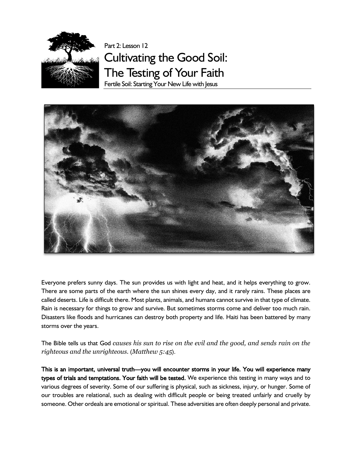

# Part 2: Lesson 12 Cultivating the Good Soil: The Testing of Your Faith Fertile Soil: Starting Your New Life with Jesus



Everyone prefers sunny days. The sun provides us with light and heat, and it helps everything to grow. There are some parts of the earth where the sun shines every day, and it rarely rains. These places are called deserts. Life is difficult there. Most plants, animals, and humans cannot survive in that type of climate. Rain is necessary for things to grow and survive. But sometimes storms come and deliver too much rain. Disasters like floods and hurricanes can destroy both property and life. Haiti has been battered by many storms over the years.

The Bible tells us that God *causes his sun to rise on the evil and the good, and sends rain on the righteous and the unrighteous.* (*Matthew 5:45*).

This is an important, universal truth—you will encounter storms in your life. You will experience many types of trials and temptations. Your faith will be tested. We experience this testing in many ways and to various degrees of severity. Some of our suffering is physical, such as sickness, injury, or hunger. Some of our troubles are relational, such as dealing with difficult people or being treated unfairly and cruelly by someone. Other ordeals are emotional or spiritual. These adversities are often deeply personal and private.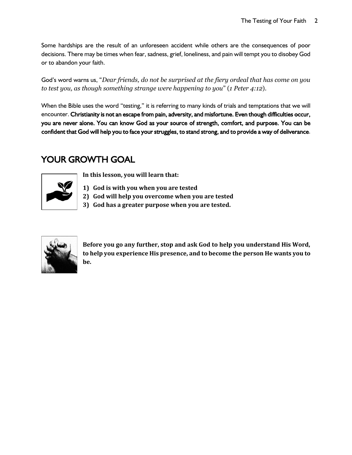Some hardships are the result of an unforeseen accident while others are the consequences of poor decisions. There may be times when fear, sadness, grief, loneliness, and pain will tempt you to disobey God or to abandon your faith.

God's word warns us, "*Dear friends, do not be surprised at the fiery ordeal that has come on you to test you, as though something strange were happening to you*" (*1 Peter 4:12*).

When the Bible uses the word "testing," it is referring to many kinds of trials and temptations that we will encounter. Christianity is not an escape from pain, adversity, and misfortune. Even though difficulties occur, you are never alone. You can know God as your source of strength, comfort, and purpose. You can be confident that God will help you to face your struggles, to stand strong, and to provide a way of deliverance.

# YOUR GROWTH GOAL



**In this lesson, you will learn that:**

- **1) God is with you when you are tested**
- **2) God will help you overcome when you are tested**
- **3) God has a greater purpose when you are tested.**



**Before you go any further, stop and ask God to help you understand His Word, to help you experience His presence, and to become the person He wants you to be.**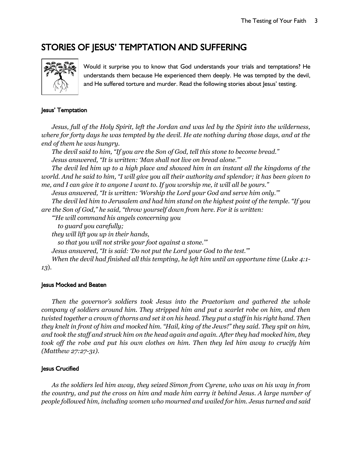# STORIES OF JESUS' TEMPTATION AND SUFFERING



Would it surprise you to know that God understands your trials and temptations? He understands them because He experienced them deeply. He was tempted by the devil, and He suffered torture and murder. Read the following stories about Jesus' testing.

### Jesus' Temptation

*Jesus, full of the Holy Spirit, left the Jordan and was led by the Spirit into the wilderness, where for forty days he was tempted by the devil. He ate nothing during those days, and at the end of them he was hungry.*

*The devil said to him, "If you are the Son of God, tell this stone to become bread." Jesus answered, "It is written: 'Man shall not live on bread alone.'"*

*The devil led him up to a high place and showed him in an instant all the kingdoms of the world. And he said to him, "I will give you all their authority and splendor; it has been given to me, and I can give it to anyone I want to. If you worship me, it will all be yours."*

*Jesus answered, "It is written: 'Worship the Lord your God and serve him only.'"*

*The devil led him to Jerusalem and had him stand on the highest point of the temple. "If you are the Son of God," he said, "throw yourself down from here. For it is written:*

- *"'He will command his angels concerning you*
	- *to guard you carefully;*

*they will lift you up in their hands,*

 *so that you will not strike your foot against a stone.'"*

*Jesus answered, "It is said: 'Do not put the Lord your God to the test.'"*

*When the devil had finished all this tempting, he left him until an opportune time* (*Luke 4:1- 13*).

### Jesus Mocked and Beaten

*Then the governor's soldiers took Jesus into the Praetorium and gathered the whole company of soldiers around him. They stripped him and put a scarlet robe on him, and then twisted together a crown of thorns and set it on his head. They put a staff in his right hand. Then they knelt in front of him and mocked him. "Hail, king of the Jews!" they said. They spit on him, and took the staff and struck him on the head again and again. After they had mocked him, they took off the robe and put his own clothes on him. Then they led him away to crucify him (Matthew 27:27-31).*

### Jesus Crucified

*As the soldiers led him away, they seized Simon from Cyrene, who was on his way in from the country, and put the cross on him and made him carry it behind Jesus. A large number of people followed him, including women who mourned and wailed for him. Jesus turned and said*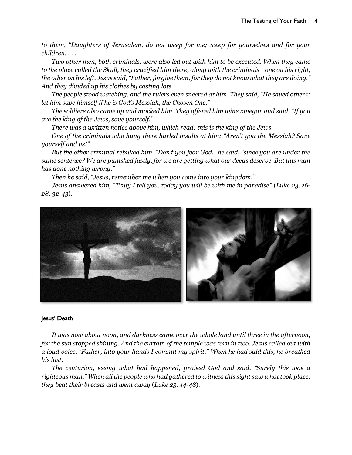*to them, "Daughters of Jerusalem, do not weep for me; weep for yourselves and for your children. . . .*

*Two other men, both criminals, were also led out with him to be executed. When they came to the place called the Skull, they crucified him there, along with the criminals—one on his right, the other on his left. Jesus said, "Father, forgive them, for they do not know what they are doing." And they divided up his clothes by casting lots.*

*The people stood watching, and the rulers even sneered at him. They said, "He saved others; let him save himself if he is God's Messiah, the Chosen One."*

*The soldiers also came up and mocked him. They offered him wine vinegar and said, "If you are the king of the Jews, save yourself."*

*There was a written notice above him, which read: this is the king of the Jews.*

*One of the criminals who hung there hurled insults at him: "Aren't you the Messiah? Save yourself and us!"*

*But the other criminal rebuked him. "Don't you fear God," he said, "since you are under the same sentence? We are punished justly, for we are getting what our deeds deserve. But this man has done nothing wrong."*

*Then he said, "Jesus, remember me when you come into your kingdom."*

*Jesus answered him, "Truly I tell you, today you will be with me in paradise"* (*Luke 23:26- 28, 32-43*).



#### Jesus' Death

*It was now about noon, and darkness came over the whole land until three in the afternoon, for the sun stopped shining. And the curtain of the temple was torn in two. Jesus called out with a loud voice, "Father, into your hands I commit my spirit." When he had said this, he breathed his last.*

*The centurion, seeing what had happened, praised God and said, "Surely this was a righteous man." When all the people who had gathered to witness this sight saw what took place, they beat their breasts and went away* (*Luke 23:44-48*).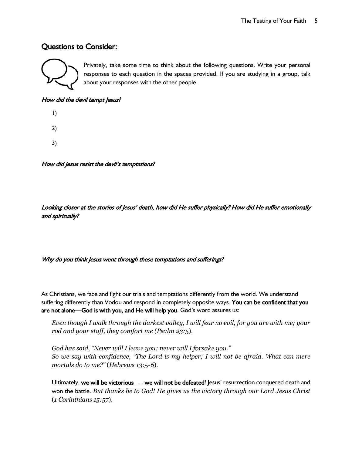## Questions to Consider:



Privately, take some time to think about the following questions. Write your personal responses to each question in the spaces provided. If you are studying in a group, talk about your responses with the other people.

### How did the devil tempt Jesus?



How did Jesus resist the devil's temptations?

Looking closer at the stories of Jesus' death, how did He suffer physically? How did He suffer emotionally and spiritually?

### Why do you think Jesus went through these temptations and sufferings?

As Christians, we face and fight our trials and temptations differently from the world. We understand suffering differently than Vodou and respond in completely opposite ways. You can be confident that you are not alone—God is with you, and He will help you. God's word assures us:

*Even though I walk through the darkest valley, I will fear no evil, for you are with me; your rod and your staff, they comfort me (Psalm 23:5*).

*God has said, "Never will I leave you; never will I forsake you." So we say with confidence, "The Lord is my helper; I will not be afraid. What can mere mortals do to me?"* (*Hebrews 13:5-6*).

Ultimately, we will be victorious . . . we will not be defeated! Jesus' resurrection conquered death and won the battle. *But thanks be to God! He gives us the victory through our Lord Jesus Christ* (*1 Corinthians 15:57*).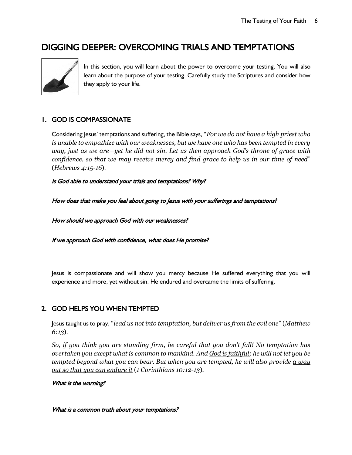# DIGGING DEEPER: OVERCOMING TRIALS AND TEMPTATIONS



In this section, you will learn about the power to overcome your testing. You will also learn about the purpose of your testing. Carefully study the Scriptures and consider how they apply to your life.

## 1. GOD IS COMPASSIONATE

Considering Jesus' temptations and suffering, the Bible says, "*For we do not have a high priest who is unable to empathize with our weaknesses, but we have one who has been tempted in every way, just as we are—yet he did not sin. Let us then approach God's throne of grace with confidence, so that we may receive mercy and find grace to help us in our time of need*" (*Hebrews 4:15-16*).

Is God able to understand your trials and temptations? Why?

How does that make you feel about going to Jesus with your sufferings and temptations?

How should we approach God with our weaknesses?

If we approach God with confidence, what does He promise?

Jesus is compassionate and will show you mercy because He suffered everything that you will experience and more, yet without sin. He endured and overcame the limits of suffering.

## 2. GOD HELPS YOU WHEN TEMPTED

Jesus taught us to pray, "*lead us not into temptation, but deliver us from the evil one*" (*Matthew 6:13*).

*So, if you think you are standing firm, be careful that you don't fall! No temptation has overtaken you except what is common to mankind. And God is faithful; he will not let you be tempted beyond what you can bear. But when you are tempted, he will also provide a way out so that you can endure it* (*1 Corinthians 10:12-13*).

### What is the warning?

What is a common truth about your temptations?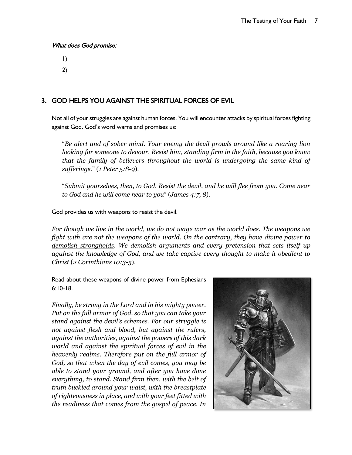#### What does God promise:

1)

2)

### 3. GOD HELPS YOU AGAINST THE SPIRITUAL FORCES OF EVIL

Not all of your struggles are against human forces. You will encounter attacks by spiritual forces fighting against God. God's word warns and promises us:

"*Be alert and of sober mind. Your enemy the devil prowls around like a roaring lion looking for someone to devour. Resist him, standing firm in the faith, because you know that the family of believers throughout the world is undergoing the same kind of sufferings.*" (*1 Peter 5:8-9*).

"*Submit yourselves, then, to God. Resist the devil, and he will flee from you. Come near to God and he will come near to you*" (*James 4:7, 8*).

God provides us with weapons to resist the devil.

*For though we live in the world, we do not wage war as the world does. The weapons we fight with are not the weapons of the world. On the contrary, they have divine power to demolish strongholds. We demolish arguments and every pretension that sets itself up against the knowledge of God, and we take captive every thought to make it obedient to Christ* (*2 Corinthians 10:3-5*).

Read about these weapons of divine power from Ephesians 6:10-18.

*Finally, be strong in the Lord and in his mighty power. Put on the full armor of God, so that you can take your stand against the devil's schemes. For our struggle is not against flesh and blood, but against the rulers, against the authorities, against the powers of this dark world and against the spiritual forces of evil in the heavenly realms. Therefore put on the full armor of God, so that when the day of evil comes, you may be able to stand your ground, and after you have done everything, to stand. Stand firm then, with the belt of truth buckled around your waist, with the breastplate of righteousness in place, and with your feet fitted with the readiness that comes from the gospel of peace. In* 

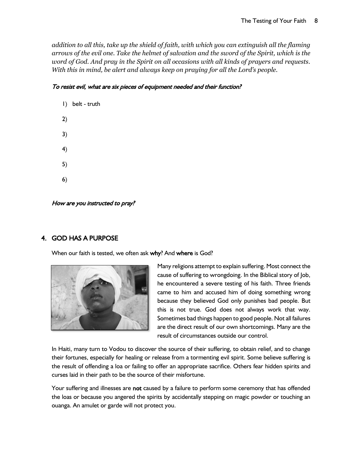*addition to all this, take up the shield of faith, with which you can extinguish all the flaming arrows of the evil one. Take the helmet of salvation and the sword of the Spirit, which is the word of God. And pray in the Spirit on all occasions with all kinds of prayers and requests. With this in mind, be alert and always keep on praying for all the Lord's people.*

#### To resist evil, what are six pieces of equipment needed and their function?

1) belt - truth 2) 3) 4) 5) 6)

How are you instructed to pray?

## 4. GOD HAS A PURPOSE

When our faith is tested, we often ask why? And where is God?



Many religions attempt to explain suffering. Most connect the cause of suffering to wrongdoing. In the Biblical story of Job, he encountered a severe testing of his faith. Three friends came to him and accused him of doing something wrong because they believed God only punishes bad people. But this is not true. God does not always work that way. Sometimes bad things happen to good people. Not all failures are the direct result of our own shortcomings. Many are the result of circumstances outside our control.

In Haiti, many turn to Vodou to discover the source of their suffering, to obtain relief, and to change their fortunes, especially for healing or release from a tormenting evil spirit. Some believe suffering is the result of offending a loa or failing to offer an appropriate sacrifice. Others fear hidden spirits and curses laid in their path to be the source of their misfortune.

Your suffering and illnesses are not caused by a failure to perform some ceremony that has offended the loas or because you angered the spirits by accidentally stepping on magic powder or touching an ouanga. An amulet or garde will not protect you.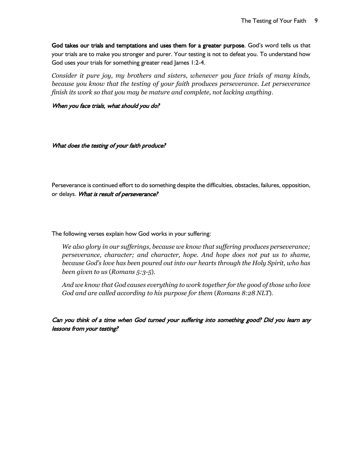God takes our trials and temptations and uses them for a greater purpose. God's word tells us that your trials are to make you stronger and purer. Your testing is not to defeat you. To understand how God uses your trials for something greater read James 1:2-4.

*Consider it pure joy, my brothers and sisters, whenever you face trials of many kinds, because you know that the testing of your faith produces perseverance. Let perseverance finish its work so that you may be mature and complete, not lacking anything*.

When you face trials, what should you do?

What does the testing of your faith produce?

Perseverance is continued effort to do something despite the difficulties, obstacles, failures, opposition, or delays. What is result of perseverance?

The following verses explain how God works in your suffering:

*We also glory in our sufferings, because we know that suffering produces perseverance; perseverance, character; and character, hope. And hope does not put us to shame, because God's love has been poured out into our hearts through the Holy Spirit, who has been given to us* (*Romans 5:3-5*).

*And we know that God causes everything to work together for the good of those who love God and are called according to his purpose for them* (*Romans 8:28 NLT*).

Can you think of a time when God turned your suffering into something good? Did you learn any lessons from your testing?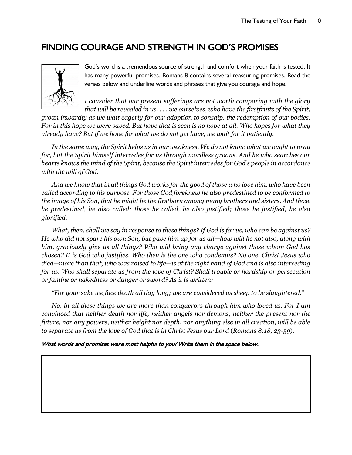# FINDING COURAGE AND STRENGTH IN GOD'S PROMISES



. . . . . . . .  God's word is a tremendous source of strength and comfort when your faith is tested. It has many powerful promises. Romans 8 contains several reassuring promises. Read the verses below and underline words and phrases that give you courage and hope.

*I consider that our present sufferings are not worth comparing with the glory that will be revealed in us. . . . we ourselves, who have the firstfruits of the Spirit,* 

*groan inwardly as we wait eagerly for our adoption to sonship, the redemption of our bodies. For in this hope we were saved. But hope that is seen is no hope at all. Who hopes for what they already have? But if we hope for what we do not yet have, we wait for it patiently.*

*In the same way, the Spirit helps us in our weakness. We do not know what we ought to pray for, but the Spirit himself intercedes for us through wordless groans. And he who searches our hearts knows the mind of the Spirit, because the Spirit intercedes for God's people in accordance with the will of God.*

*And we know that in all things God works for the good of those who love him, who have been called according to his purpose. For those God foreknew he also predestined to be conformed to the image of his Son, that he might be the firstborn among many brothers and sisters. And those he predestined, he also called; those he called, he also justified; those he justified, he also glorified.*

*What, then, shall we say in response to these things? If God is for us, who can be against us? He who did not spare his own Son, but gave him up for us all—how will he not also, along with him, graciously give us all things? Who will bring any charge against those whom God has chosen? It is God who justifies. Who then is the one who condemns? No one. Christ Jesus who died—more than that, who was raised to life—is at the right hand of God and is also interceding for us. Who shall separate us from the love of Christ? Shall trouble or hardship or persecution or famine or nakedness or danger or sword? As it is written:*

*"For your sake we face death all day long; we are considered as sheep to be slaughtered."*

*No, in all these things we are more than conquerors through him who loved us. For I am convinced that neither death nor life, neither angels nor demons, neither the present nor the future, nor any powers, neither height nor depth, nor anything else in all creation, will be able to separate us from the love of God that is in Christ Jesus our Lord* (*Romans 8:18, 23-39*).

#### What words and promises were most helpful to you? Write them in the space below.